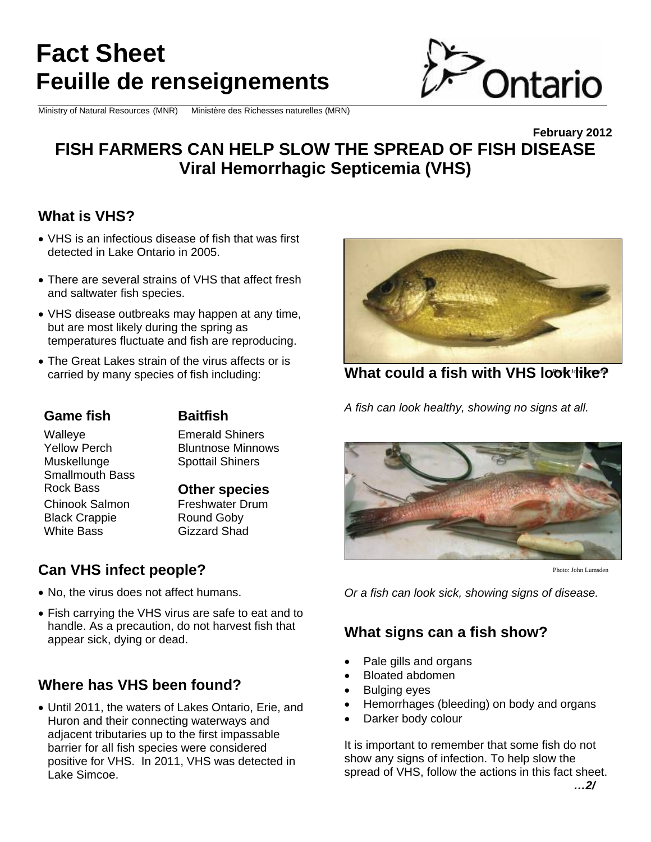# **Fact Sheet Feuille de renseignements**

Ministry of Natural Resources (MNR) Ministère des Richesses naturelles (MRN)



## **February 2012 FISH FARMERS CAN HELP SLOW THE SPREAD OF FISH DISEASE Viral Hemorrhagic Septicemia (VHS)**

# **What is VHS?**

- VHS is an infectious disease of fish that was first detected in Lake Ontario in 2005.
- There are several strains of VHS that affect fresh and saltwater fish species.
- VHS disease outbreaks may happen at any time, but are most likely during the spring as temperatures fluctuate and fish are reproducing.
- The Great Lakes strain of the virus affects or is carried by many species of fish including:

#### **Game fish Baitfish**

Walleye Emerald Shiners Yellow Perch Bluntnose Minnows

Muskellunge Spottail Shiners Smallmouth Bass<br>Rock Bass Chinook Salmon Freshwater Drum Black Crappie Round Goby White Bass **Gizzard Shad** 

**Other species** 

# **Can VHS infect people?**

- No, the virus does not affect humans.
- Fish carrying the VHS virus are safe to eat and to handle. As a precaution, do not harvest fish that appear sick, dying or dead.

# **Where has VHS been found?**

 Until 2011, the waters of Lakes Ontario, Erie, and Huron and their connecting waterways and adjacent tributaries up to the first impassable barrier for all fish species were considered positive for VHS. In 2011, VHS was detected in Lake Simcoe.



**What could a fish with VHS look like?** 

*A fish can look healthy, showing no signs at all.* 



Photo: John Lumsden

*Or a fish can look sick, showing signs of disease.*

## **What signs can a fish show?**

- Pale gills and organs
- Bloated abdomen
- Bulging eyes
- Hemorrhages (bleeding) on body and organs
- Darker body colour

It is important to remember that some fish do not show any signs of infection. To help slow the spread of VHS, follow the actions in this fact sheet. *…2/*